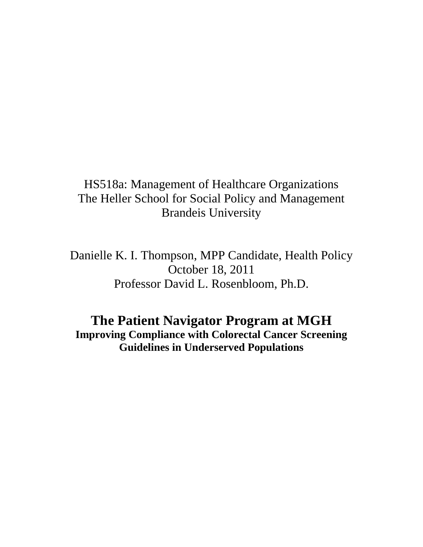# HS518a: Management of Healthcare Organizations The Heller School for Social Policy and Management Brandeis University

Danielle K. I. Thompson, MPP Candidate, Health Policy October 18, 2011 Professor David L. Rosenbloom, Ph.D.

## **The Patient Navigator Program at MGH Improving Compliance with Colorectal Cancer Screening Guidelines in Underserved Populations**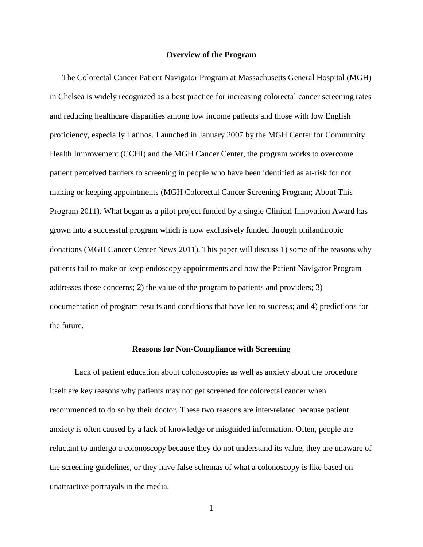#### **Overview of the Program**

The Colorectal Cancer Patient Navigator Program at Massachusetts General Hospital (MGH) in Chelsea is widely recognized as a best practice for increasing colorectal cancer screening rates and reducing healthcare disparities among low income patients and those with low English proficiency, especially Latinos. Launched in January 2007 by the MGH Center for Community Health Improvement (CCHI) and the MGH Cancer Center, the program works to overcome patient perceived barriers to screening in people who have been identified as at-risk for not making or keeping appointments (MGH Colorectal Cancer Screening Program; About This Program 2011). What began as a pilot project funded by a single Clinical Innovation Award has grown into a successful program which is now exclusively funded through philanthropic donations (MGH Cancer Center News 2011). This paper will discuss 1) some of the reasons why patients fail to make or keep endoscopy appointments and how the Patient Navigator Program addresses those concerns; 2) the value of the program to patients and providers; 3) documentation of program results and conditions that have led to success; and 4) predictions for the future.

#### **Reasons for Non-Compliance with Screening**

Lack of patient education about colonoscopies as well as anxiety about the procedure itself are key reasons why patients may not get screened for colorectal cancer when recommended to do so by their doctor. These two reasons are inter-related because patient anxiety is often caused by a lack of knowledge or misguided information. Often, people are reluctant to undergo a colonoscopy because they do not understand its value, they are unaware of the screening guidelines, or they have false schemas of what a colonoscopy is like based on unattractive portrayals in the media.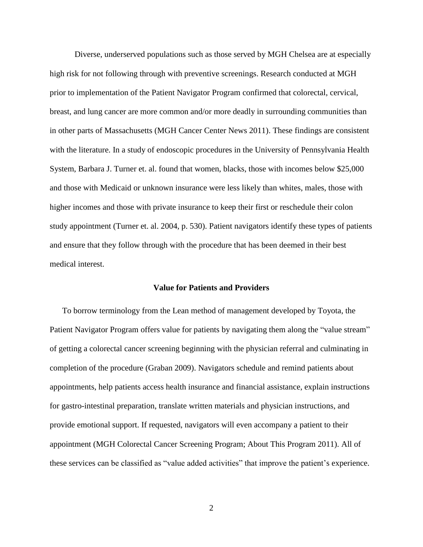Diverse, underserved populations such as those served by MGH Chelsea are at especially high risk for not following through with preventive screenings. Research conducted at MGH prior to implementation of the Patient Navigator Program confirmed that colorectal, cervical, breast, and lung cancer are more common and/or more deadly in surrounding communities than in other parts of Massachusetts (MGH Cancer Center News 2011). These findings are consistent with the literature. In a study of endoscopic procedures in the University of Pennsylvania Health System, Barbara J. Turner et. al. found that women, blacks, those with incomes below \$25,000 and those with Medicaid or unknown insurance were less likely than whites, males, those with higher incomes and those with private insurance to keep their first or reschedule their colon study appointment (Turner et. al. 2004, p. 530). Patient navigators identify these types of patients and ensure that they follow through with the procedure that has been deemed in their best medical interest.

## **Value for Patients and Providers**

To borrow terminology from the Lean method of management developed by Toyota, the Patient Navigator Program offers value for patients by navigating them along the "value stream" of getting a colorectal cancer screening beginning with the physician referral and culminating in completion of the procedure (Graban 2009). Navigators schedule and remind patients about appointments, help patients access health insurance and financial assistance, explain instructions for gastro-intestinal preparation, translate written materials and physician instructions, and provide emotional support. If requested, navigators will even accompany a patient to their appointment (MGH Colorectal Cancer Screening Program; About This Program 2011). All of these services can be classified as "value added activities" that improve the patient's experience.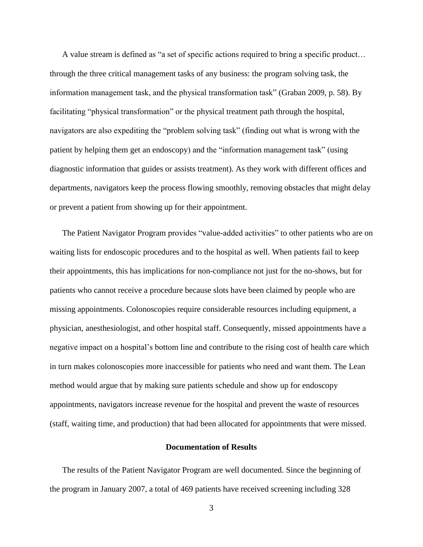A value stream is defined as "a set of specific actions required to bring a specific product… through the three critical management tasks of any business: the program solving task, the information management task, and the physical transformation task" (Graban 2009, p. 58). By facilitating "physical transformation" or the physical treatment path through the hospital, navigators are also expediting the "problem solving task" (finding out what is wrong with the patient by helping them get an endoscopy) and the "information management task" (using diagnostic information that guides or assists treatment). As they work with different offices and departments, navigators keep the process flowing smoothly, removing obstacles that might delay or prevent a patient from showing up for their appointment.

The Patient Navigator Program provides "value-added activities" to other patients who are on waiting lists for endoscopic procedures and to the hospital as well. When patients fail to keep their appointments, this has implications for non-compliance not just for the no-shows, but for patients who cannot receive a procedure because slots have been claimed by people who are missing appointments. Colonoscopies require considerable resources including equipment, a physician, anesthesiologist, and other hospital staff. Consequently, missed appointments have a negative impact on a hospital's bottom line and contribute to the rising cost of health care which in turn makes colonoscopies more inaccessible for patients who need and want them. The Lean method would argue that by making sure patients schedule and show up for endoscopy appointments, navigators increase revenue for the hospital and prevent the waste of resources (staff, waiting time, and production) that had been allocated for appointments that were missed.

#### **Documentation of Results**

The results of the Patient Navigator Program are well documented. Since the beginning of the program in January 2007, a total of 469 patients have received screening including 328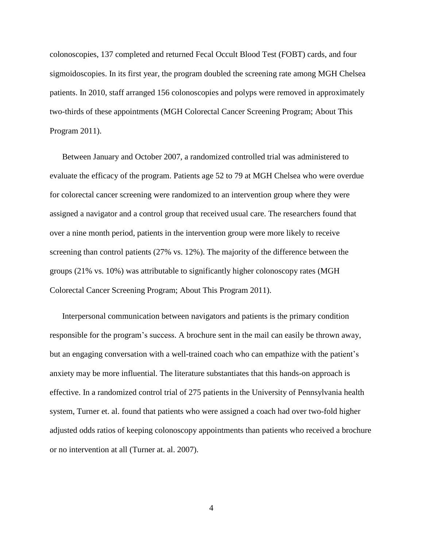colonoscopies, 137 completed and returned Fecal Occult Blood Test (FOBT) cards, and four sigmoidoscopies. In its first year, the program doubled the screening rate among MGH Chelsea patients. In 2010, staff arranged 156 colonoscopies and polyps were removed in approximately two-thirds of these appointments (MGH Colorectal Cancer Screening Program; About This Program 2011).

Between January and October 2007, a randomized controlled trial was administered to evaluate the efficacy of the program. Patients age 52 to 79 at MGH Chelsea who were overdue for colorectal cancer screening were randomized to an intervention group where they were assigned a navigator and a control group that received usual care. The researchers found that over a nine month period, patients in the intervention group were more likely to receive screening than control patients (27% vs. 12%). The majority of the difference between the groups (21% vs. 10%) was attributable to significantly higher colonoscopy rates (MGH Colorectal Cancer Screening Program; About This Program 2011).

Interpersonal communication between navigators and patients is the primary condition responsible for the program's success. A brochure sent in the mail can easily be thrown away, but an engaging conversation with a well-trained coach who can empathize with the patient's anxiety may be more influential. The literature substantiates that this hands-on approach is effective. In a randomized control trial of 275 patients in the University of Pennsylvania health system, Turner et. al. found that patients who were assigned a coach had over two-fold higher adjusted odds ratios of keeping colonoscopy appointments than patients who received a brochure or no intervention at all (Turner at. al. 2007).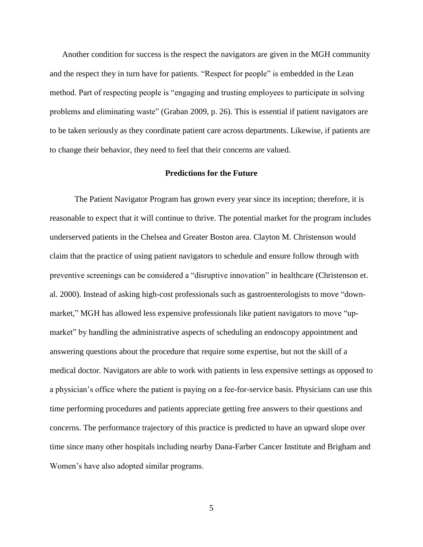Another condition for success is the respect the navigators are given in the MGH community and the respect they in turn have for patients. "Respect for people" is embedded in the Lean method. Part of respecting people is "engaging and trusting employees to participate in solving problems and eliminating waste" (Graban 2009, p. 26). This is essential if patient navigators are to be taken seriously as they coordinate patient care across departments. Likewise, if patients are to change their behavior, they need to feel that their concerns are valued.

### **Predictions for the Future**

The Patient Navigator Program has grown every year since its inception; therefore, it is reasonable to expect that it will continue to thrive. The potential market for the program includes underserved patients in the Chelsea and Greater Boston area. Clayton M. Christenson would claim that the practice of using patient navigators to schedule and ensure follow through with preventive screenings can be considered a "disruptive innovation" in healthcare (Christenson et. al. 2000). Instead of asking high-cost professionals such as gastroenterologists to move "downmarket," MGH has allowed less expensive professionals like patient navigators to move "upmarket" by handling the administrative aspects of scheduling an endoscopy appointment and answering questions about the procedure that require some expertise, but not the skill of a medical doctor. Navigators are able to work with patients in less expensive settings as opposed to a physician's office where the patient is paying on a fee-for-service basis. Physicians can use this time performing procedures and patients appreciate getting free answers to their questions and concerns. The performance trajectory of this practice is predicted to have an upward slope over time since many other hospitals including nearby Dana-Farber Cancer Institute and Brigham and Women's have also adopted similar programs.